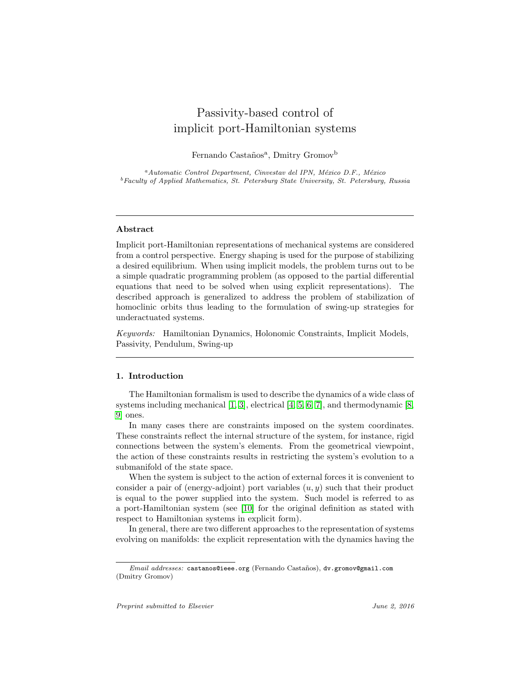# Passivity-based control of implicit port-Hamiltonian systems

Fernando Castaños<sup>a</sup>, Dmitry Gromov<sup>b</sup>

 ${}^a$ Automatic Control Department, Cinvestav del IPN, México D.F., México <sup>b</sup>Faculty of Applied Mathematics, St. Petersburg State University, St. Petersburg, Russia

# Abstract

Implicit port-Hamiltonian representations of mechanical systems are considered from a control perspective. Energy shaping is used for the purpose of stabilizing a desired equilibrium. When using implicit models, the problem turns out to be a simple quadratic programming problem (as opposed to the partial differential equations that need to be solved when using explicit representations). The described approach is generalized to address the problem of stabilization of homoclinic orbits thus leading to the formulation of swing-up strategies for underactuated systems.

Keywords: Hamiltonian Dynamics, Holonomic Constraints, Implicit Models, Passivity, Pendulum, Swing-up

# 1. Introduction

The Hamiltonian formalism is used to describe the dynamics of a wide class of systems including mechanical [\[1,](#page-17-0) [3\]](#page-17-1), electrical [\[4,](#page-17-2) [5,](#page-17-3) [6,](#page-17-4) [7\]](#page-17-5), and thermodynamic [\[8,](#page-17-6) [9\]](#page-18-0) ones.

In many cases there are constraints imposed on the system coordinates. These constraints reflect the internal structure of the system, for instance, rigid connections between the system's elements. From the geometrical viewpoint, the action of these constraints results in restricting the system's evolution to a submanifold of the state space.

When the system is subject to the action of external forces it is convenient to consider a pair of (energy-adjoint) port variables  $(u, y)$  such that their product is equal to the power supplied into the system. Such model is referred to as a port-Hamiltonian system (see [\[10\]](#page-18-1) for the original definition as stated with respect to Hamiltonian systems in explicit form).

In general, there are two different approaches to the representation of systems evolving on manifolds: the explicit representation with the dynamics having the

Email addresses: castanos@ieee.org (Fernando Castaños), dv.gromov@gmail.com (Dmitry Gromov)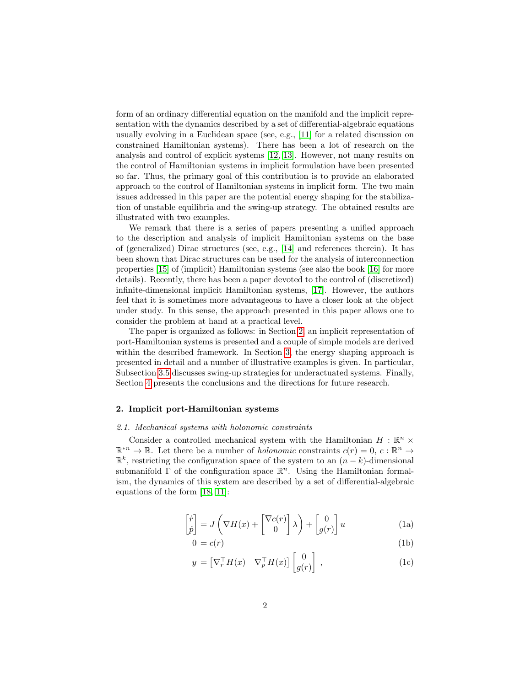form of an ordinary differential equation on the manifold and the implicit representation with the dynamics described by a set of differential-algebraic equations usually evolving in a Euclidean space (see, e.g., [\[11\]](#page-18-2) for a related discussion on constrained Hamiltonian systems). There has been a lot of research on the analysis and control of explicit systems [\[12,](#page-18-3) [13\]](#page-18-4). However, not many results on the control of Hamiltonian systems in implicit formulation have been presented so far. Thus, the primary goal of this contribution is to provide an elaborated approach to the control of Hamiltonian systems in implicit form. The two main issues addressed in this paper are the potential energy shaping for the stabilization of unstable equilibria and the swing-up strategy. The obtained results are illustrated with two examples.

We remark that there is a series of papers presenting a unified approach to the description and analysis of implicit Hamiltonian systems on the base of (generalized) Dirac structures (see, e.g., [\[14\]](#page-18-5) and references therein). It has been shown that Dirac structures can be used for the analysis of interconnection properties [\[15\]](#page-18-6) of (implicit) Hamiltonian systems (see also the book [\[16\]](#page-18-7) for more details). Recently, there has been a paper devoted to the control of (discretized) infinite-dimensional implicit Hamiltonian systems, [\[17\]](#page-18-8). However, the authors feel that it is sometimes more advantageous to have a closer look at the object under study. In this sense, the approach presented in this paper allows one to consider the problem at hand at a practical level.

The paper is organized as follows: in Section [2,](#page-1-0) an implicit representation of port-Hamiltonian systems is presented and a couple of simple models are derived within the described framework. In Section [3,](#page-6-0) the energy shaping approach is presented in detail and a number of illustrative examples is given. In particular, Subsection [3.5](#page-12-0) discusses swing-up strategies for underactuated systems. Finally, Section [4](#page-17-7) presents the conclusions and the directions for future research.

# <span id="page-1-0"></span>2. Implicit port-Hamiltonian systems

## 2.1. Mechanical systems with holonomic constraints

<span id="page-1-1"></span>Consider a controlled mechanical system with the Hamiltonian  $H : \mathbb{R}^n \times$  $\mathbb{R}^{n} \to \mathbb{R}$ . Let there be a number of *holonomic* constraints  $c(r) = 0, c : \mathbb{R}^{n} \to$  $\mathbb{R}^k$ , restricting the configuration space of the system to an  $(n-k)$ -dimensional submanifold  $\Gamma$  of the configuration space  $\mathbb{R}^n$ . Using the Hamiltonian formalism, the dynamics of this system are described by a set of differential-algebraic equations of the form [\[18,](#page-18-9) [11\]](#page-18-2):

$$
\begin{bmatrix} \dot{r} \\ \dot{p} \end{bmatrix} = J \left( \nabla H(x) + \begin{bmatrix} \nabla c(r) \\ 0 \end{bmatrix} \lambda \right) + \begin{bmatrix} 0 \\ g(r) \end{bmatrix} u \tag{1a}
$$

<span id="page-1-2"></span>
$$
0 = c(r) \tag{1b}
$$

$$
y = \begin{bmatrix} \nabla_r^\top H(x) & \nabla_p^\top H(x) \end{bmatrix} \begin{bmatrix} 0 \\ g(r) \end{bmatrix},
$$
 (1c)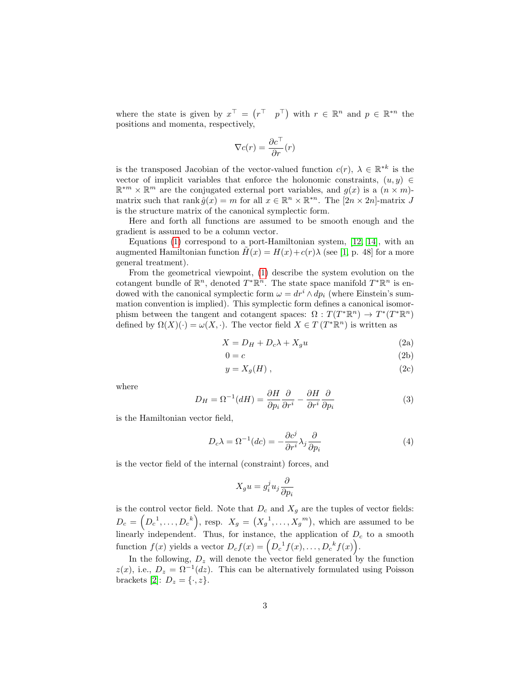where the state is given by  $x^{\top} = (r^{\top} \ p^{\top})$  with  $r \in \mathbb{R}^{n}$  and  $p \in \mathbb{R}^{*n}$  the positions and momenta, respectively,

$$
\nabla c(r) = \frac{\partial c^{\top}}{\partial r}(r)
$$

is the transposed Jacobian of the vector-valued function  $c(r)$ ,  $\lambda \in \mathbb{R}^{*k}$  is the vector of implicit variables that enforce the holonomic constraints,  $(u, y) \in$  $\mathbb{R}^{m} \times \mathbb{R}^{m}$  are the conjugated external port variables, and  $g(x)$  is a  $(n \times m)$ matrix such that rank  $\hat{g}(x) = m$  for all  $x \in \mathbb{R}^n \times \mathbb{R}^{n}$ . The  $[2n \times 2n]$ -matrix  $J$ is the structure matrix of the canonical symplectic form.

Here and forth all functions are assumed to be smooth enough and the gradient is assumed to be a column vector.

Equations  $(1)$  correspond to a port-Hamiltonian system,  $[12, 14]$  $[12, 14]$ , with an augmented Hamiltonian function  $H(x) = H(x) + c(r)\lambda$  (see [\[1,](#page-17-0) p. 48] for a more general treatment).

From the geometrical viewpoint, [\(1\)](#page-1-1) describe the system evolution on the cotangent bundle of  $\mathbb{R}^n$ , denoted  $T^*\mathbb{R}^n$ . The state space manifold  $T^*\mathbb{R}^n$  is endowed with the canonical symplectic form  $\omega = dr^i \wedge dp_i$  (where Einstein's summation convention is implied). This symplectic form defines a canonical isomorphism between the tangent and cotangent spaces:  $\Omega: T(T^*\mathbb{R}^n) \to T^*(T^*\mathbb{R}^n)$ defined by  $\Omega(X)(\cdot) = \omega(X, \cdot)$ . The vector field  $X \in T(T^*\mathbb{R}^n)$  is written as

$$
X = D_H + D_c \lambda + X_g u \tag{2a}
$$

$$
0 = c \tag{2b}
$$

$$
y = X_g(H) , \t\t(2c)
$$

where

$$
D_H = \Omega^{-1}(dH) = \frac{\partial H}{\partial p_i} \frac{\partial}{\partial r^i} - \frac{\partial H}{\partial r^i} \frac{\partial}{\partial p_i}
$$
(3)

is the Hamiltonian vector field,

$$
D_c \lambda = \Omega^{-1}(dc) = -\frac{\partial c^j}{\partial r^i} \lambda_j \frac{\partial}{\partial p_i}
$$
 (4)

is the vector field of the internal (constraint) forces, and

$$
X_g u = g_i^j u_j \frac{\partial}{\partial p_i}
$$

is the control vector field. Note that  $D_c$  and  $X_g$  are the tuples of vector fields:  $D_c = (D_c^{-1}, \ldots, D_c^{-k}),$  resp.  $X_g = (X_g^{-1}, \ldots, X_g^{-m}),$  which are assumed to be linearly independent. Thus, for instance, the application of  $D_c$  to a smooth function  $f(x)$  yields a vector  $D_c f(x) = \left( D_c^{-1} f(x), \ldots, D_c^{-k} f(x) \right)$ .

In the following,  $D_z$  will denote the vector field generated by the function  $z(x)$ , i.e.,  $D_z = \Omega^{-1}(dz)$ . This can be alternatively formulated using Poisson brackets [\[2\]](#page-17-8):  $D_z = \{\cdot, z\}.$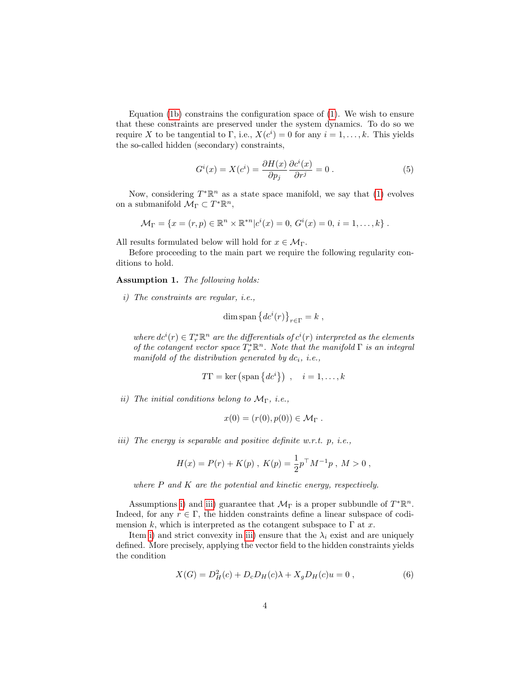Equation [\(1b\)](#page-1-2) constrains the configuration space of [\(1\)](#page-1-1). We wish to ensure that these constraints are preserved under the system dynamics. To do so we require X to be tangential to  $\Gamma$ , i.e.,  $X(c^i) = 0$  for any  $i = 1, \ldots, k$ . This yields the so-called hidden (secondary) constraints,

<span id="page-3-3"></span>
$$
G^{i}(x) = X(c^{i}) = \frac{\partial H(x)}{\partial p_{j}} \frac{\partial c^{i}(x)}{\partial r^{j}} = 0.
$$
 (5)

Now, considering  $T^*\mathbb{R}^n$  as a state space manifold, we say that [\(1\)](#page-1-1) evolves on a submanifold  $\mathcal{M}_{\Gamma} \subset T^*\mathbb{R}^n$ ,

$$
\mathcal{M}_{\Gamma} = \{x = (r, p) \in \mathbb{R}^n \times \mathbb{R}^{*n} | c^i(x) = 0, G^i(x) = 0, i = 1, ..., k\}.
$$

All results formulated below will hold for  $x \in \mathcal{M}_{\Gamma}$ .

Before proceeding to the main part we require the following regularity conditions to hold.

<span id="page-3-4"></span>Assumption 1. The following holds:

<span id="page-3-0"></span>i) The constraints are regular, i.e.,

$$
\dim \operatorname{span} \left\{ d c^i(r) \right\}_{r \in \Gamma} = k ,
$$

where  $dc^{i}(r) \in T_{r}^{*}\mathbb{R}^{n}$  are the differentials of  $c^{i}(r)$  interpreted as the elements of the cotangent vector space  $T_r^*\mathbb{R}^n$ . Note that the manifold  $\Gamma$  is an integral manifold of the distribution generated by  $dc_i$ , i.e.,

$$
T\Gamma = \ker\left(\text{span}\left\{dc^i\right\}\right), \quad i = 1, \dots, k
$$

<span id="page-3-2"></span>ii) The initial conditions belong to  $\mathcal{M}_{\Gamma}$ , i.e.,

$$
x(0) = (r(0), p(0)) \in \mathcal{M}_{\Gamma} .
$$

<span id="page-3-1"></span>iii) The energy is separable and positive definite w.r.t. p, i.e.,

$$
H(x) = P(r) + K(p) , K(p) = \frac{1}{2} p^{\top} M^{-1} p , M > 0 ,
$$

where  $P$  and  $K$  are the potential and kinetic energy, respectively.

Assumptions [i\)](#page-3-0) and [iii\)](#page-3-1) guarantee that  $\mathcal{M}_{\Gamma}$  is a proper subbundle of  $T^*\mathbb{R}^n$ . Indeed, for any  $r \in \Gamma$ , the hidden constraints define a linear subspace of codimension k, which is interpreted as the cotangent subspace to  $\Gamma$  at x.

Item [i\)](#page-3-0) and strict convexity in [iii\)](#page-3-1) ensure that the  $\lambda_i$  exist and are uniquely defined. More precisely, applying the vector field to the hidden constraints yields the condition

<span id="page-3-5"></span>
$$
X(G) = D_H^2(c) + D_c D_H(c)\lambda + X_g D_H(c)u = 0 ,
$$
 (6)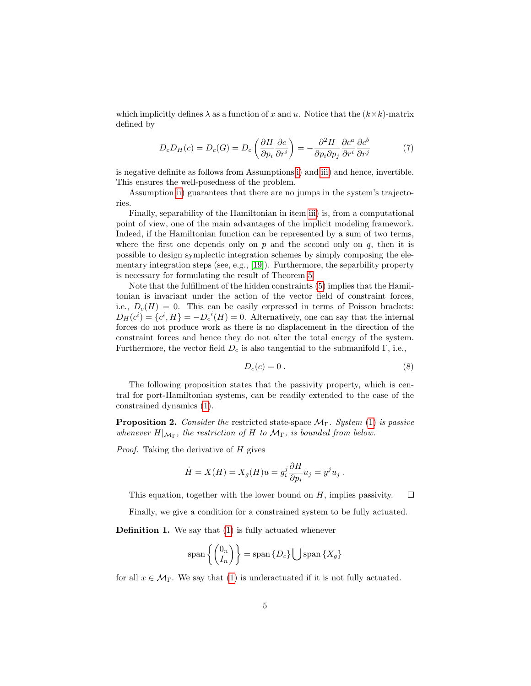which implicitly defines  $\lambda$  as a function of x and u. Notice that the  $(k \times k)$ -matrix defined by

<span id="page-4-0"></span>
$$
D_c D_H(c) = D_c(G) = D_c \left( \frac{\partial H}{\partial p_i} \frac{\partial c}{\partial r^i} \right) = -\frac{\partial^2 H}{\partial p_i \partial p_j} \frac{\partial c^a}{\partial r^i} \frac{\partial c^b}{\partial r^j}
$$
(7)

is negative definite as follows from Assumptions [i\)](#page-3-0) and [iii\)](#page-3-1) and hence, invertible. This ensures the well-posedness of the problem.

Assumption [ii\)](#page-3-2) guarantees that there are no jumps in the system's trajectories.

Finally, separability of the Hamiltonian in item [iii\)](#page-3-1) is, from a computational point of view, one of the main advantages of the implicit modeling framework. Indeed, if the Hamiltonian function can be represented by a sum of two terms, where the first one depends only on p and the second only on q, then it is possible to design symplectic integration schemes by simply composing the elementary integration steps (see, e.g., [\[19\]](#page-18-10)). Furthermore, the separbility property is necessary for formulating the result of Theorem [5.](#page-8-0)

Note that the fulfillment of the hidden constraints [\(5\)](#page-3-3) implies that the Hamiltonian is invariant under the action of the vector field of constraint forces, i.e.,  $D_c(H) = 0$ . This can be easily expressed in terms of Poisson brackets:  $D_H(c^i) = \{c^i, H\} = -D_c{}^i(H) = 0.$  Alternatively, one can say that the internal forces do not produce work as there is no displacement in the direction of the constraint forces and hence they do not alter the total energy of the system. Furthermore, the vector field  $D_c$  is also tangential to the submanifold  $\Gamma$ , i.e.,

$$
D_c(c) = 0.
$$
 (8)

The following proposition states that the passivity property, which is central for port-Hamiltonian systems, can be readily extended to the case of the constrained dynamics [\(1\)](#page-1-1).

**Proposition 2.** Consider the restricted state-space  $\mathcal{M}_{\Gamma}$ . System [\(1\)](#page-1-1) is passive whenever  $H|_{\mathcal{M}_{\Gamma}}$ , the restriction of H to  $\mathcal{M}_{\Gamma}$ , is bounded from below.

Proof. Taking the derivative of H gives

$$
\dot{H} = X(H) = X_g(H)u = g_i^j \frac{\partial H}{\partial p_i} u_j = y^j u_j.
$$

This equation, together with the lower bound on  $H$ , implies passivity.  $\Box$ 

Finally, we give a condition for a constrained system to be fully actuated.

Definition 1. We say that [\(1\)](#page-1-1) is fully actuated whenever

$$
\text{span}\left\{ \begin{pmatrix} 0_n \\ I_n \end{pmatrix} \right\} = \text{span}\left\{ D_c \right\} \bigcup \text{span}\left\{ X_g \right\}
$$

for all  $x \in \mathcal{M}_{\Gamma}$ . We say that [\(1\)](#page-1-1) is underactuated if it is not fully actuated.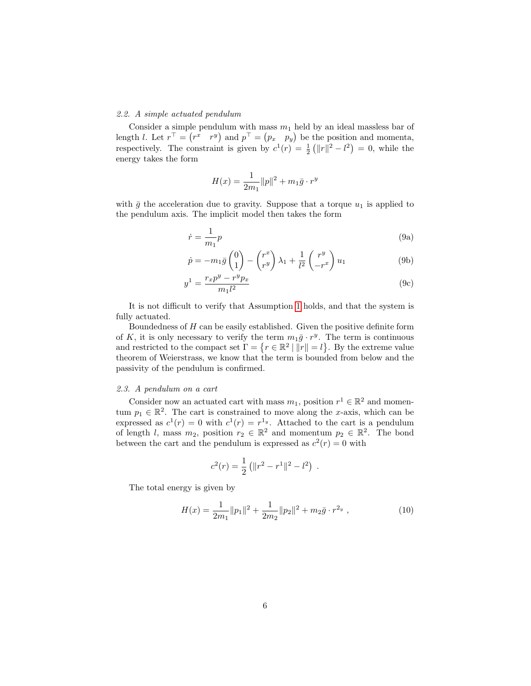# 2.2. A simple actuated pendulum

Consider a simple pendulum with mass  $m_1$  held by an ideal massless bar of length *l*. Let  $r^{\top} = (r^x \quad r^y)$  and  $p^{\top} = (p_x \quad p_y)$  be the position and momenta, respectively. The constraint is given by  $c^1(r) = \frac{1}{2} (||r||^2 - l^2) = 0$ , while the energy takes the form

<span id="page-5-0"></span>
$$
H(x) = \frac{1}{2m_1} ||p||^2 + m_1 \bar{g} \cdot r^y
$$

with  $\bar{g}$  the acceleration due to gravity. Suppose that a torque  $u_1$  is applied to the pendulum axis. The implicit model then takes the form

$$
\dot{r} = \frac{1}{m_1}p\tag{9a}
$$

$$
\dot{p} = -m_1 \bar{g} \begin{pmatrix} 0 \\ 1 \end{pmatrix} - \begin{pmatrix} r^x \\ r^y \end{pmatrix} \lambda_1 + \frac{1}{l^2} \begin{pmatrix} r^y \\ -r^x \end{pmatrix} u_1 \tag{9b}
$$

$$
y^{1} = \frac{r_{x}p^{y} - r^{y}p_{x}}{m_{1}l^{2}}
$$
 (9c)

It is not difficult to verify that Assumption [1](#page-3-4) holds, and that the system is fully actuated.

Boundedness of  $H$  can be easily established. Given the positive definite form of K, it is only necessary to verify the term  $m_1 \bar{g} \cdot r^y$ . The term is continuous and restricted to the compact set  $\Gamma = \{r \in \mathbb{R}^2 \mid ||r|| = l\}$ . By the extreme value theorem of Weierstrass, we know that the term is bounded from below and the passivity of the pendulum is confirmed.

# 2.3. A pendulum on a cart

Consider now an actuated cart with mass  $m_1$ , position  $r^1 \in \mathbb{R}^2$  and momentum  $p_1 \in \mathbb{R}^2$ . The cart is constrained to move along the x-axis, which can be expressed as  $c^1(r) = 0$  with  $c^1(r) = r^{1y}$ . Attached to the cart is a pendulum of length l, mass  $m_2$ , position  $r_2 \in \mathbb{R}^2$  and momentum  $p_2 \in \mathbb{R}^2$ . The bond between the cart and the pendulum is expressed as  $c^2(r) = 0$  with

$$
c^{2}(r) = \frac{1}{2} (||r^{2} - r^{1}||^{2} - l^{2}).
$$

The total energy is given by

$$
H(x) = \frac{1}{2m_1} ||p_1||^2 + \frac{1}{2m_2} ||p_2||^2 + m_2 \bar{g} \cdot r^{2_y}, \qquad (10)
$$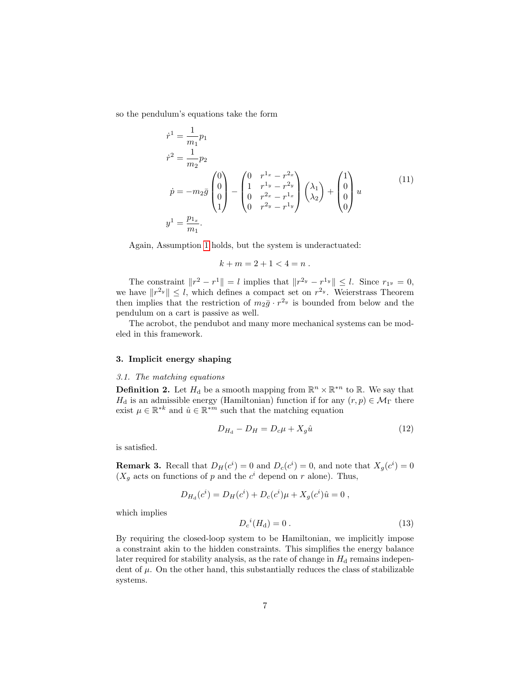so the pendulum's equations take the form

$$
\dot{r}^{1} = \frac{1}{m_{1}} p_{1}
$$
\n
$$
\dot{r}^{2} = \frac{1}{m_{2}} p_{2}
$$
\n
$$
\dot{p} = -m_{2}\bar{g} \begin{pmatrix} 0 \\ 0 \\ 0 \\ 1 \end{pmatrix} - \begin{pmatrix} 0 & r^{1_{x}} - r^{2_{x}} \\ 1 & r^{1_{y}} - r^{2_{y}} \\ 0 & r^{2_{x}} - r^{1_{x}} \\ 0 & r^{2_{y}} - r^{1_{y}} \end{pmatrix} \begin{pmatrix} \lambda_{1} \\ \lambda_{2} \end{pmatrix} + \begin{pmatrix} 1 \\ 0 \\ 0 \\ 0 \end{pmatrix} u
$$
\n
$$
y^{1} = \frac{p_{1_{x}}}{m_{1}}.
$$
\n(11)

Again, Assumption [1](#page-3-4) holds, but the system is underactuated:

$$
k + m = 2 + 1 < 4 = n \; .
$$

The constraint  $||r^2 - r^1|| = l$  implies that  $||r^{2_y} - r^{1_y}|| \leq l$ . Since  $r_{1_y} = 0$ , we have  $||r^{2y}|| \leq l$ , which defines a compact set on  $r^{2y}$ . Weierstrass Theorem then implies that the restriction of  $m_2\bar{g} \cdot r^{2_y}$  is bounded from below and the pendulum on a cart is passive as well.

The acrobot, the pendubot and many more mechanical systems can be modeled in this framework.

## <span id="page-6-0"></span>3. Implicit energy shaping

# 3.1. The matching equations

<span id="page-6-3"></span>**Definition 2.** Let  $H_d$  be a smooth mapping from  $\mathbb{R}^n \times \mathbb{R}^{n}$  to  $\mathbb{R}$ . We say that  $H_d$  is an admissible energy (Hamiltonian) function if for any  $(r, p) \in \mathcal{M}_{\Gamma}$  there exist  $\mu \in \mathbb{R}^{*k}$  and  $\hat{u} \in \mathbb{R}^{*m}$  such that the matching equation

<span id="page-6-1"></span>
$$
D_{H_d} - D_H = D_c \mu + X_g \hat{u}
$$
\n(12)

is satisfied.

<span id="page-6-4"></span>**Remark 3.** Recall that  $D_H(c^i) = 0$  and  $D_c(c^i) = 0$ , and note that  $X_g(c^i) = 0$  $(X_g$  acts on functions of p and the  $c^i$  depend on r alone). Thus,

$$
D_{H_d}(c^i) = D_H(c^i) + D_c(c^i)\mu + X_g(c^i)\hat{u} = 0,
$$

which implies

<span id="page-6-2"></span>
$$
D_c{}^i(H_d) = 0.
$$
 (13)

By requiring the closed-loop system to be Hamiltonian, we implicitly impose a constraint akin to the hidden constraints. This simplifies the energy balance later required for stability analysis, as the rate of change in  $H_d$  remains independent of  $\mu$ . On the other hand, this substantially reduces the class of stabilizable systems.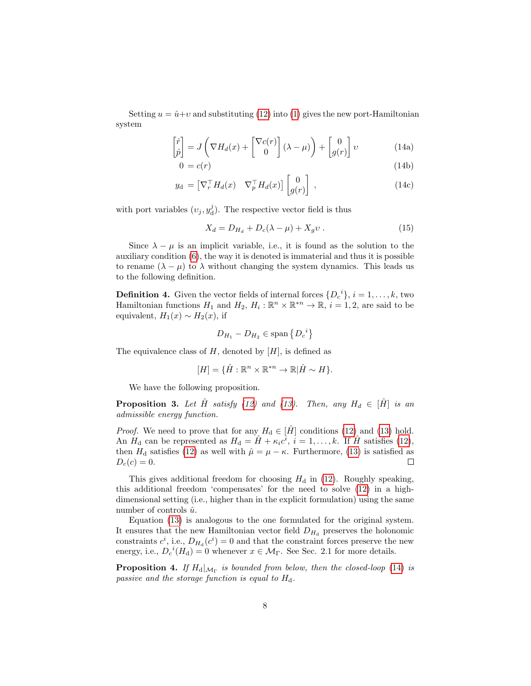<span id="page-7-0"></span>Setting  $u = \hat{u}+v$  and substituting [\(12\)](#page-6-1) into [\(1\)](#page-1-1) gives the new port-Hamiltonian system

$$
\begin{bmatrix} \dot{r} \\ \dot{p} \end{bmatrix} = J \left( \nabla H_d(x) + \begin{bmatrix} \nabla c(r) \\ 0 \end{bmatrix} (\lambda - \mu) \right) + \begin{bmatrix} 0 \\ g(r) \end{bmatrix} v \tag{14a}
$$

$$
0 = c(r) \tag{14b}
$$

$$
y_{\rm d} = \left[\nabla_r^{\top} H_d(x) \quad \nabla_p^{\top} H_d(x)\right] \begin{bmatrix} 0 \\ g(r) \end{bmatrix} , \qquad (14c)
$$

with port variables  $(v_j, y_d^j)$ . The respective vector field is thus

$$
X_d = D_{H_d} + D_c(\lambda - \mu) + X_g v \tag{15}
$$

Since  $\lambda - \mu$  is an implicit variable, i.e., it is found as the solution to the auxiliary condition [\(6\)](#page-3-5), the way it is denoted is immaterial and thus it is possible to rename  $(\lambda - \mu)$  to  $\lambda$  without changing the system dynamics. This leads us to the following definition.

**Definition 4.** Given the vector fields of internal forces  $\{D_c^i\}, i = 1, \ldots, k$ , two Hamiltonian functions  $H_1$  and  $H_2$ ,  $H_i: \mathbb{R}^n \times \mathbb{R}^{*n} \to \mathbb{R}$ ,  $i = 1, 2$ , are said to be equivalent,  $H_1(x) \sim H_2(x)$ , if

$$
D_{H_1} - D_{H_2} \in \text{span}\left\{D_c^{\ i}\right\}
$$

The equivalence class of  $H$ , denoted by  $[H]$ , is defined as

$$
[H] = \{ \hat{H} : \mathbb{R}^n \times \mathbb{R}^{*n} \to \mathbb{R} | \hat{H} \sim H \}.
$$

We have the following proposition.

**Proposition 3.** Let  $\hat{H}$  satisfy [\(12\)](#page-6-1) and [\(13\)](#page-6-2). Then, any  $H_d \in [\hat{H}]$  is an admissible energy function.

*Proof.* We need to prove that for any  $H_d \in [\hat{H}]$  conditions [\(12\)](#page-6-1) and [\(13\)](#page-6-2) hold. An  $H_d$  can be represented as  $H_d = \hat{H} + \kappa_i c^i$ ,  $i = 1, ..., k$ . If  $\hat{H}$  satisfies [\(12\)](#page-6-1), then  $H_d$  satisfies [\(12\)](#page-6-1) as well with  $\hat{\mu} = \mu - \kappa$ . Furthermore, [\(13\)](#page-6-2) is satisfied as  $D_c(c) = 0.$  $\Box$ 

This gives additional freedom for choosing  $H_d$  in [\(12\)](#page-6-1). Roughly speaking, this additional freedom 'compensates' for the need to solve [\(12\)](#page-6-1) in a highdimensional setting (i.e., higher than in the explicit formulation) using the same number of controls  $\hat{u}$ .

Equation [\(13\)](#page-6-2) is analogous to the one formulated for the original system. It ensures that the new Hamiltonian vector field  $D_{H_d}$  preserves the holonomic constraints  $c^i$ , i.e.,  $D_{H_d}(c^i) = 0$  and that the constraint forces preserve the new energy, i.e.,  $D_c{}^i(H_d) = 0$  whenever  $x \in \mathcal{M}_{\Gamma}$ . See Sec. 2.1 for more details.

**Proposition 4.** If  $H_d|_{\mathcal{M}_{\Gamma}}$  is bounded from below, then the closed-loop [\(14\)](#page-7-0) is passive and the storage function is equal to  $H_d$ .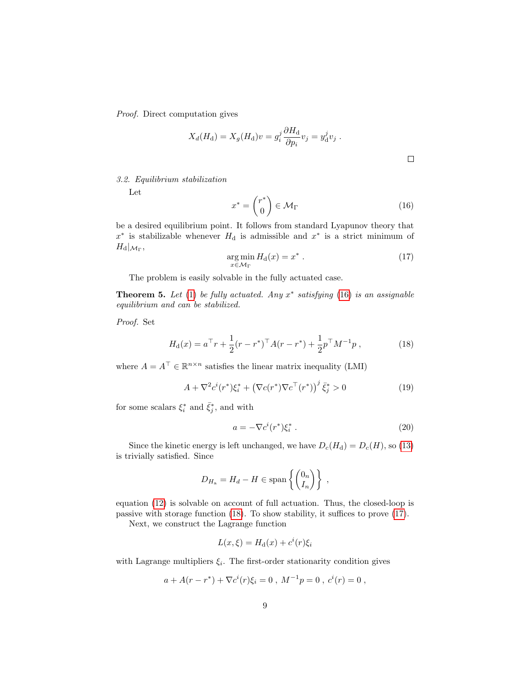Proof. Direct computation gives

$$
X_d(H_d) = X_g(H_d)v = g_i^j \frac{\partial H_d}{\partial p_i} v_j = y_d^j v_j.
$$

$$
\qquad \qquad \Box
$$

3.2. Equilibrium stabilization

Let

<span id="page-8-1"></span>
$$
x^* = \begin{pmatrix} r^* \\ 0 \end{pmatrix} \in \mathcal{M}_{\Gamma} \tag{16}
$$

be a desired equilibrium point. It follows from standard Lyapunov theory that  $x^*$  is stabilizable whenever  $H_d$  is admissible and  $x^*$  is a strict minimum of  $H_{\rm d}|_{\mathcal{M}_\Gamma},$ 

<span id="page-8-3"></span>
$$
\underset{x \in \mathcal{M}_{\Gamma}}{\arg \min} H_{\mathbf{d}}(x) = x^* \tag{17}
$$

The problem is easily solvable in the fully actuated case.

<span id="page-8-0"></span>**Theorem 5.** Let [\(1\)](#page-1-1) be fully actuated. Any  $x^*$  satisfying [\(16\)](#page-8-1) is an assignable equilibrium and can be stabilized.

Proof. Set

<span id="page-8-2"></span>
$$
H_{\rm d}(x) = a^{\top}r + \frac{1}{2}(r - r^*)^{\top}A(r - r^*) + \frac{1}{2}p^{\top}M^{-1}p\,,\tag{18}
$$

where  $A = A^{\top} \in \mathbb{R}^{n \times n}$  satisfies the linear matrix inequality (LMI)

<span id="page-8-5"></span>
$$
A + \nabla^2 c^i(r^*) \xi_i^* + (\nabla c(r^*) \nabla c^\top(r^*))^j \bar{\xi}_j^* > 0
$$
\n(19)

for some scalars  $\xi_i^*$  and  $\bar{\xi}_j^*$ , and with

<span id="page-8-4"></span>
$$
a = -\nabla c^i(r^*)\xi_i^* \ . \tag{20}
$$

Since the kinetic energy is left unchanged, we have  $D_c(H_d) = D_c(H)$ , so [\(13\)](#page-6-2) is trivially satisfied. Since

$$
D_{H_a} = H_d - H \in \text{span}\left\{ \begin{pmatrix} 0_n \\ I_n \end{pmatrix} \right\},\,
$$

equation [\(12\)](#page-6-1) is solvable on account of full actuation. Thus, the closed-loop is passive with storage function [\(18\)](#page-8-2). To show stability, it suffices to prove [\(17\)](#page-8-3).

Next, we construct the Lagrange function

$$
L(x,\xi) = H_{\mathrm{d}}(x) + c^{i}(r)\xi_{i}
$$

with Lagrange multipliers  $\xi_i$ . The first-order stationarity condition gives

$$
a + A(r - r^*) + \nabla c^i(r)\xi_i = 0
$$
,  $M^{-1}p = 0$ ,  $c^i(r) = 0$ ,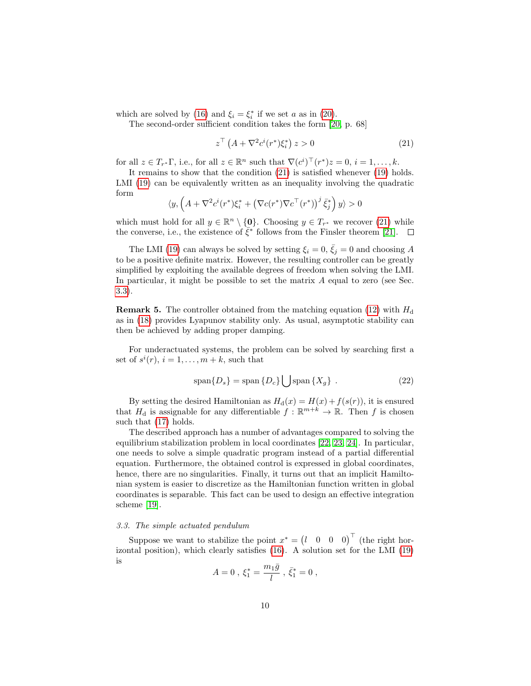which are solved by [\(16\)](#page-8-1) and  $\xi_i = \xi_i^*$  if we set a as in [\(20\)](#page-8-4).

The second-order sufficient condition takes the form [\[20,](#page-18-11) p. 68]

<span id="page-9-0"></span>
$$
z^{\top} \left( A + \nabla^2 c^i(r^*) \xi_i^* \right) z > 0 \tag{21}
$$

for all  $z \in T_{r^*}$  i.e., for all  $z \in \mathbb{R}^n$  such that  $\nabla (c^i)^\top (r^*) z = 0$ ,  $i = 1, ..., k$ .

It remains to show that the condition [\(21\)](#page-9-0) is satisfied whenever [\(19\)](#page-8-5) holds. LMI [\(19\)](#page-8-5) can be equivalently written as an inequality involving the quadratic form

$$
\langle y, \left( A + \nabla^2 c^i(r^*) \xi_i^* + \left( \nabla c(r^*) \nabla c^\top(r^*) \right)^j \bar{\xi}_j^* \right) y \rangle > 0
$$

which must hold for all  $y \in \mathbb{R}^n \setminus \{0\}$ . Choosing  $y \in T_{r^*}$  we recover [\(21\)](#page-9-0) while the converse, i.e., the existence of  $\bar{\xi}^*$  follows from the Finsler theorem [\[21\]](#page-18-12).

The LMI [\(19\)](#page-8-5) can always be solved by setting  $\xi_i = 0$ ,  $\overline{\xi}_i = 0$  and choosing A to be a positive definite matrix. However, the resulting controller can be greatly simplified by exploiting the available degrees of freedom when solving the LMI. In particular, it might be possible to set the matrix  $A$  equal to zero (see Sec. [3.3\)](#page-9-1).

**Remark 5.** The controller obtained from the matching equation [\(12\)](#page-6-1) with  $H_d$ as in [\(18\)](#page-8-2) provides Lyapunov stability only. As usual, asymptotic stability can then be achieved by adding proper damping.

For underactuated systems, the problem can be solved by searching first a set of  $s^i(r)$ ,  $i = 1, \ldots, m+k$ , such that

<span id="page-9-2"></span>
$$
\text{span}\{D_s\} = \text{span}\{D_c\} \bigcup \text{span}\{X_g\} . \tag{22}
$$

By setting the desired Hamiltonian as  $H_d(x) = H(x) + f(s(r))$ , it is ensured that  $H_d$  is assignable for any differentiable  $f : \mathbb{R}^{m+k} \to \mathbb{R}$ . Then f is chosen such that [\(17\)](#page-8-3) holds.

The described approach has a number of advantages compared to solving the equilibrium stabilization problem in local coordinates [\[22,](#page-18-13) [23,](#page-19-0) [24\]](#page-19-1). In particular, one needs to solve a simple quadratic program instead of a partial differential equation. Furthermore, the obtained control is expressed in global coordinates, hence, there are no singularities. Finally, it turns out that an implicit Hamiltonian system is easier to discretize as the Hamiltonian function written in global coordinates is separable. This fact can be used to design an effective integration scheme [\[19\]](#page-18-10).

## <span id="page-9-1"></span>3.3. The simple actuated pendulum

Suppose we want to stabilize the point  $x^* = \begin{pmatrix} l & 0 & 0 & 0 \end{pmatrix}^\top$  (the right horizontal position), which clearly satisfies [\(16\)](#page-8-1). A solution set for the LMI [\(19\)](#page-8-5) is

$$
A=0\;,\;\xi_1^*=\frac{m_1\bar{g}}{l}\;,\;\bar{\xi}_1^*=0\;,
$$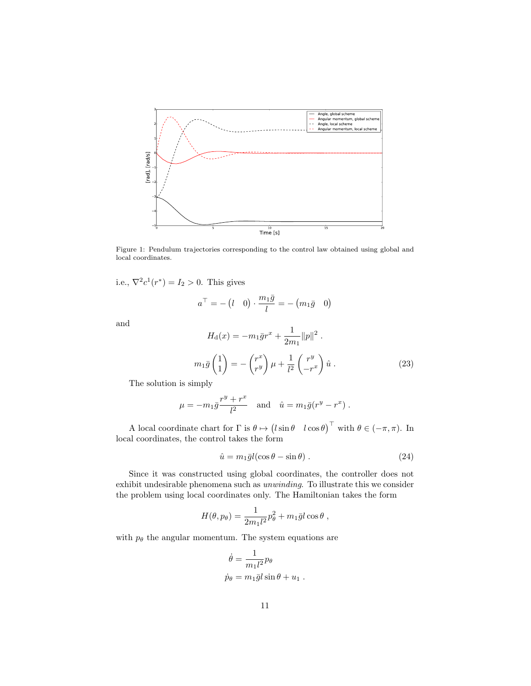

<span id="page-10-1"></span>Figure 1: Pendulum trajectories corresponding to the control law obtained using global and local coordinates.

i.e.,  $\nabla^2 c^1(r^*) = I_2 > 0$ . This gives

$$
a^\top = -\begin{pmatrix}l & 0 \end{pmatrix} \cdot \frac{m_1\bar{g}}{l} = -\begin{pmatrix}m_1\bar{g} & 0 \end{pmatrix}
$$

and

$$
H_{\rm d}(x) = -m_1 \bar{g}r^x + \frac{1}{2m_1} ||p||^2.
$$
  

$$
m_1 \bar{g} \begin{pmatrix} 1 \\ 1 \end{pmatrix} = -\begin{pmatrix} r^x \\ r^y \end{pmatrix} \mu + \frac{1}{l^2} \begin{pmatrix} r^y \\ -r^x \end{pmatrix} \hat{u}.
$$
 (23)

The solution is simply

$$
\mu = -m_1 \bar{g} \frac{r^y + r^x}{l^2}
$$
 and  $\hat{u} = m_1 \bar{g} (r^y - r^x)$ .

A local coordinate chart for  $\Gamma$  is  $\theta \mapsto (l \sin \theta \quad l \cos \theta)^{\top}$  with  $\theta \in (-\pi, \pi)$ . In local coordinates, the control takes the form

<span id="page-10-0"></span>
$$
\hat{u} = m_1 \bar{g} l(\cos \theta - \sin \theta) . \tag{24}
$$

Since it was constructed using global coordinates, the controller does not exhibit undesirable phenomena such as unwinding. To illustrate this we consider the problem using local coordinates only. The Hamiltonian takes the form

$$
H(\theta, p_{\theta}) = \frac{1}{2m_1 l^2} p_{\theta}^2 + m_1 \bar{g} l \cos \theta ,
$$

with  $p_{\theta}$  the angular momentum. The system equations are

$$
\dot{\theta} = \frac{1}{m_1 l^2} p_\theta
$$
  

$$
\dot{p}_\theta = m_1 \bar{g} l \sin \theta + u_1.
$$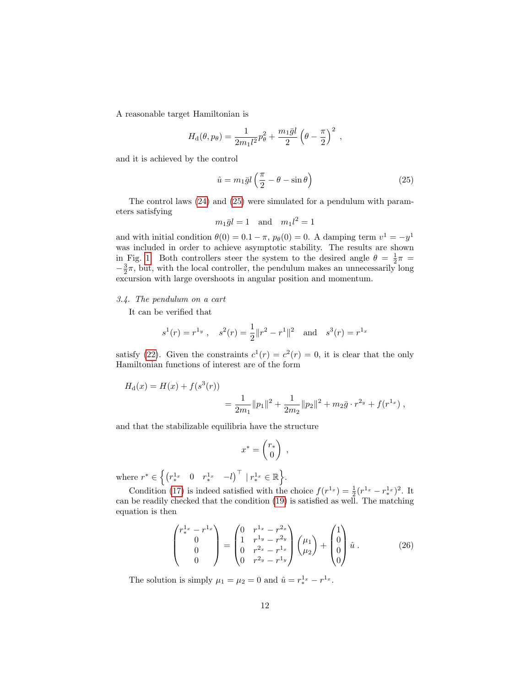A reasonable target Hamiltonian is

$$
H_{\rm d}(\theta, p_{\theta}) = \frac{1}{2m_1 l^2} p_{\theta}^2 + \frac{m_1 \bar{g} l}{2} \left(\theta - \frac{\pi}{2}\right)^2 ,
$$

and it is achieved by the control

<span id="page-11-0"></span>
$$
\hat{u} = m_1 \bar{g} l \left( \frac{\pi}{2} - \theta - \sin \theta \right) \tag{25}
$$

The control laws [\(24\)](#page-10-0) and [\(25\)](#page-11-0) were simulated for a pendulum with parameters satisfying

$$
m_1\bar{g}l = 1 \quad \text{and} \quad m_1l^2 = 1
$$

and with initial condition  $\theta(0) = 0.1 - \pi$ ,  $p_{\theta}(0) = 0$ . A damping term  $v^1 = -y^1$ was included in order to achieve asymptotic stability. The results are shown in Fig. [1.](#page-10-1) Both controllers steer the system to the desired angle  $\theta = \frac{1}{2}\pi$  $-\frac{3}{2}\pi$ , but, with the local controller, the pendulum makes an unnecessarily long excursion with large overshoots in angular position and momentum.

## 3.4. The pendulum on a cart

It can be verified that

$$
s^1(r) = r^{1_y}
$$
,  $s^2(r) = \frac{1}{2} ||r^2 - r^1||^2$  and  $s^3(r) = r^{1_x}$ 

satisfy [\(22\)](#page-9-2). Given the constraints  $c^{1}(r) = c^{2}(r) = 0$ , it is clear that the only Hamiltonian functions of interest are of the form

$$
H_{\rm d}(x) = H(x) + f(s^3(r))
$$
  
= 
$$
\frac{1}{2m_1} ||p_1||^2 + \frac{1}{2m_2} ||p_2||^2 + m_2 \bar{g} \cdot r^{2y} + f(r^{1x}),
$$

and that the stabilizable equilibria have the structure

$$
x^* = \begin{pmatrix} r_* \\ 0 \end{pmatrix} ,
$$

where  $r^* \in \left\{ \begin{pmatrix} r^{1_x} & 0 & r^{1_x} & -l \end{pmatrix}^\top \, \vert \, r^{1_x} \in \mathbb{R} \right\}$ .

Condition [\(17\)](#page-8-3) is indeed satisfied with the choice  $f(r^{1_x}) = \frac{1}{2}(r^{1_x} - r^{1_x})^2$ . It can be readily checked that the condition [\(19\)](#page-8-5) is satisfied as well. The matching equation is then

$$
\begin{pmatrix} r_{*}^{1_x} - r_{*}^{1_x} \\ 0 \\ 0 \\ 0 \end{pmatrix} = \begin{pmatrix} 0 & r_{*}^{1_x} - r_{*}^{2_x} \\ 1 & r_{*}^{1_y} - r_{*}^{2_y} \\ 0 & r_{*}^{2_x} - r_{*}^{1_x} \\ 0 & r_{*}^{2_y} - r_{*}^{2_y} \end{pmatrix} \begin{pmatrix} \mu_1 \\ \mu_2 \end{pmatrix} + \begin{pmatrix} 1 \\ 0 \\ 0 \\ 0 \end{pmatrix} \hat{u} . \qquad (26)
$$

The solution is simply  $\mu_1 = \mu_2 = 0$  and  $\hat{u} = r_*^{1_x} - r^{1_x}$ .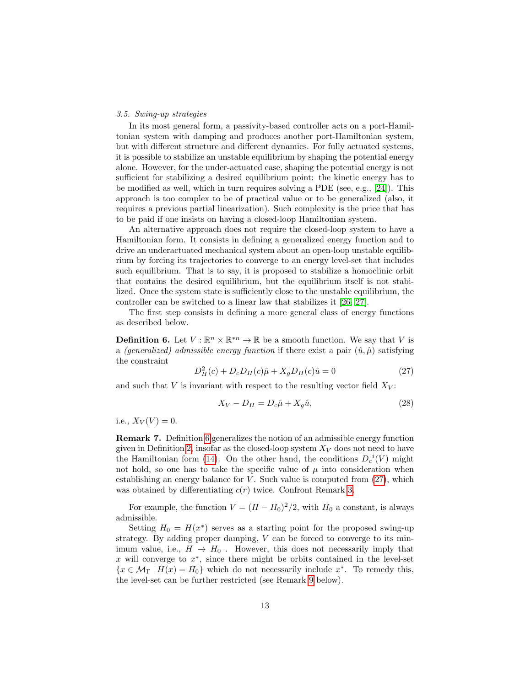# <span id="page-12-0"></span>3.5. Swing-up strategies

In its most general form, a passivity-based controller acts on a port-Hamiltonian system with damping and produces another port-Hamiltonian system, but with different structure and different dynamics. For fully actuated systems, it is possible to stabilize an unstable equilibrium by shaping the potential energy alone. However, for the under-actuated case, shaping the potential energy is not sufficient for stabilizing a desired equilibrium point: the kinetic energy has to be modified as well, which in turn requires solving a PDE (see, e.g., [\[24\]](#page-19-1)). This approach is too complex to be of practical value or to be generalized (also, it requires a previous partial linearization). Such complexity is the price that has to be paid if one insists on having a closed-loop Hamiltonian system.

An alternative approach does not require the closed-loop system to have a Hamiltonian form. It consists in defining a generalized energy function and to drive an underactuated mechanical system about an open-loop unstable equilibrium by forcing its trajectories to converge to an energy level-set that includes such equilibrium. That is to say, it is proposed to stabilize a homoclinic orbit that contains the desired equilibrium, but the equilibrium itself is not stabilized. Once the system state is sufficiently close to the unstable equilibrium, the controller can be switched to a linear law that stabilizes it [\[26,](#page-19-2) [27\]](#page-19-3).

The first step consists in defining a more general class of energy functions as described below.

<span id="page-12-1"></span>**Definition 6.** Let  $V : \mathbb{R}^n \times \mathbb{R}^{*n} \to \mathbb{R}$  be a smooth function. We say that V is a (generalized) admissible energy function if there exist a pair  $(\hat{u}, \hat{\mu})$  satisfying the constraint

<span id="page-12-2"></span>
$$
D_H^2(c) + D_c D_H(c)\hat{\mu} + X_g D_H(c)\hat{u} = 0
$$
\n(27)

and such that V is invariant with respect to the resulting vector field  $X_V$ :

<span id="page-12-3"></span>
$$
X_V - D_H = D_c \hat{\mu} + X_g \hat{u},\tag{28}
$$

i.e.,  $X_V(V) = 0$ .

Remark 7. Definition [6](#page-12-1) generalizes the notion of an admissible energy function given in Definition [2,](#page-6-3) insofar as the closed-loop system  $X_V$  does not need to have the Hamiltonian form [\(14\)](#page-7-0). On the other hand, the conditions  $D_c^{\ i}(V)$  might not hold, so one has to take the specific value of  $\mu$  into consideration when establishing an energy balance for  $V$ . Such value is computed from  $(27)$ , which was obtained by differentiating  $c(r)$  twice. Confront Remark [3.](#page-6-4)

For example, the function  $V = (H - H_0)^2/2$ , with  $H_0$  a constant, is always admissible.

Setting  $H_0 = H(x^*)$  serves as a starting point for the proposed swing-up strategy. By adding proper damping,  $V$  can be forced to converge to its minimum value, i.e.,  $H \rightarrow H_0$ . However, this does not necessarily imply that  $x$  will converge to  $x^*$ , since there might be orbits contained in the level-set  $\{x \in \mathcal{M}_{\Gamma} \mid H(x) = H_0\}$  which do not necessarily include  $x^*$ . To remedy this, the level-set can be further restricted (see Remark [9](#page-15-0) below).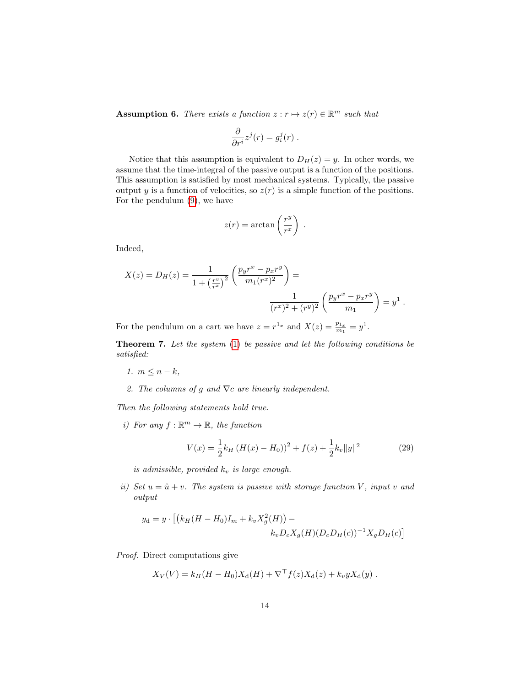**Assumption 6.** There exists a function  $z : r \mapsto z(r) \in \mathbb{R}^m$  such that

$$
\frac{\partial}{\partial r^i} z^j(r) = g_i^j(r) .
$$

Notice that this assumption is equivalent to  $D_H(z) = y$ . In other words, we assume that the time-integral of the passive output is a function of the positions. This assumption is satisfied by most mechanical systems. Typically, the passive output y is a function of velocities, so  $z(r)$  is a simple function of the positions. For the pendulum [\(9\)](#page-5-0), we have

$$
z(r) = \arctan\left(\frac{r^y}{r^x}\right) .
$$

Indeed,

$$
X(z) = D_H(z) = \frac{1}{1 + \left(\frac{r^y}{r^x}\right)^2} \left(\frac{p_y r^x - p_x r^y}{m_1 (r^x)^2}\right) = \frac{1}{(r^x)^2 + (r^y)^2} \left(\frac{p_y r^x - p_x r^y}{m_1}\right) = y^1.
$$

For the pendulum on a cart we have  $z = r^{1_x}$  and  $X(z) = \frac{p_{1_x}}{m_1} = y^1$ .

<span id="page-13-1"></span>**Theorem 7.** Let the system  $(1)$  be passive and let the following conditions be satisfied:

- 1.  $m \leq n k$ ,
- 2. The columns of g and  $\nabla c$  are linearly independent.

Then the following statements hold true.

i) For any  $f : \mathbb{R}^m \to \mathbb{R}$ , the function

<span id="page-13-2"></span>
$$
V(x) = \frac{1}{2}k_H \left( H(x) - H_0 \right)^2 + f(z) + \frac{1}{2}k_v \|y\|^2 \tag{29}
$$

is admissible, provided  $k_v$  is large enough.

<span id="page-13-0"></span>ii) Set  $u = \hat{u} + v$ . The system is passive with storage function V, input v and output

$$
y_{\rm d} = y \cdot \left[ \left( k_H (H - H_0) I_m + k_v X_g^2(H) \right) - k_v D_c X_g(H) (D_c D_H(c))^{-1} X_g D_H(c) \right]
$$

Proof. Direct computations give

$$
X_V(V) = k_H(H - H_0)X_d(H) + \nabla^{\top} f(z)X_d(z) + k_v y X_d(y) .
$$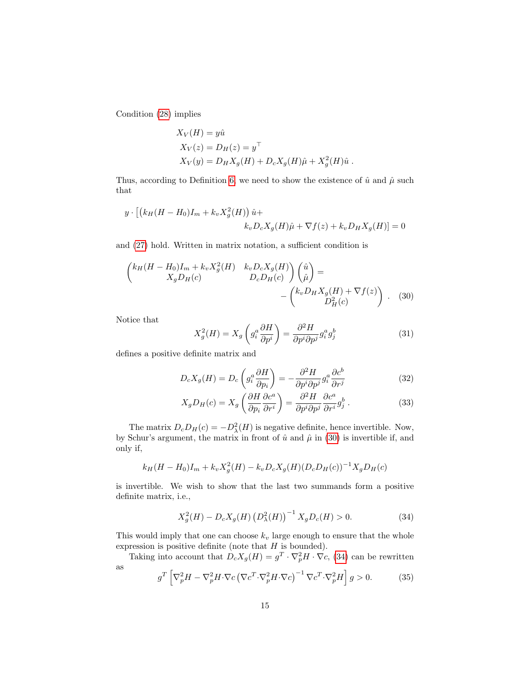Condition [\(28\)](#page-12-3) implies

$$
X_V(H) = y\hat{u}
$$
  
\n
$$
X_V(z) = D_H(z) = y^\top
$$
  
\n
$$
X_V(y) = D_H X_g(H) + D_c X_g(H)\hat{\mu} + X_g^2(H)\hat{u}.
$$

Thus, according to Definition [6,](#page-12-1) we need to show the existence of  $\hat{u}$  and  $\hat{\mu}$  such that

$$
y \cdot \left[ \left( k_H (H - H_0) I_m + k_v X_g^2(H) \right) \hat{u} + k_v D_c X_g(H) \hat{\mu} + \nabla f(z) + k_v D_H X_g(H) \right] = 0
$$

and [\(27\)](#page-12-2) hold. Written in matrix notation, a sufficient condition is

$$
\begin{pmatrix}\nk_H(H - H_0)I_m + k_v X_g^2(H) & k_v D_c X_g(H) \\
X_g D_H(c) & D_c D_H(c)\n\end{pmatrix}\n\begin{pmatrix}\n\hat{u} \\
\hat{\mu}\n\end{pmatrix} = \n-\n\begin{pmatrix}\nk_v D_H X_g(H) + \nabla f(z) \\
D_H^2(c)\n\end{pmatrix}.
$$
\n(30)

Notice that

<span id="page-14-5"></span><span id="page-14-4"></span><span id="page-14-3"></span><span id="page-14-0"></span>
$$
X_g^2(H) = X_g \left( g_i^a \frac{\partial H}{\partial p^i} \right) = \frac{\partial^2 H}{\partial p^i \partial p^j} g_i^a g_j^b \tag{31}
$$

defines a positive definite matrix and

$$
D_c X_g(H) = D_c \left( g_i^a \frac{\partial H}{\partial p_i} \right) = -\frac{\partial^2 H}{\partial p^i \partial p^j} g_i^a \frac{\partial c^b}{\partial r^j}
$$
(32)

$$
X_g D_H(c) = X_g \left(\frac{\partial H}{\partial p_i} \frac{\partial c^a}{\partial r^i}\right) = \frac{\partial^2 H}{\partial p^i \partial p^j} \frac{\partial c^a}{\partial r^i} g_j^b. \tag{33}
$$

The matrix  $D_c D_H(c) = -D_{\lambda}^2(H)$  is negative definite, hence invertible. Now, by Schur's argument, the matrix in front of  $\hat{u}$  and  $\hat{\mu}$  in [\(30\)](#page-14-0) is invertible if, and only if,

$$
k_H(H - H_0)I_m + k_v X_g^2(H) - k_v D_c X_g(H) (D_c D_H(c))^{-1} X_g D_H(c)
$$

is invertible. We wish to show that the last two summands form a positive definite matrix, i.e.,

<span id="page-14-1"></span>
$$
X_g^2(H) - D_c X_g(H) (D_\lambda^2(H))^{-1} X_g D_c(H) > 0.
$$
 (34)

This would imply that one can choose  $k_v$  large enough to ensure that the whole expression is positive definite (note that  $H$  is bounded).

Taking into account that  $D_cX_g(H) = g^T \cdot \nabla^2 H \cdot \nabla c$ , [\(34\)](#page-14-1) can be rewritten as

<span id="page-14-2"></span>
$$
g^T \left[ \nabla_p^2 H - \nabla_p^2 H \cdot \nabla c \left( \nabla c^T \cdot \nabla_p^2 H \cdot \nabla c \right)^{-1} \nabla c^T \cdot \nabla_p^2 H \right] g > 0. \tag{35}
$$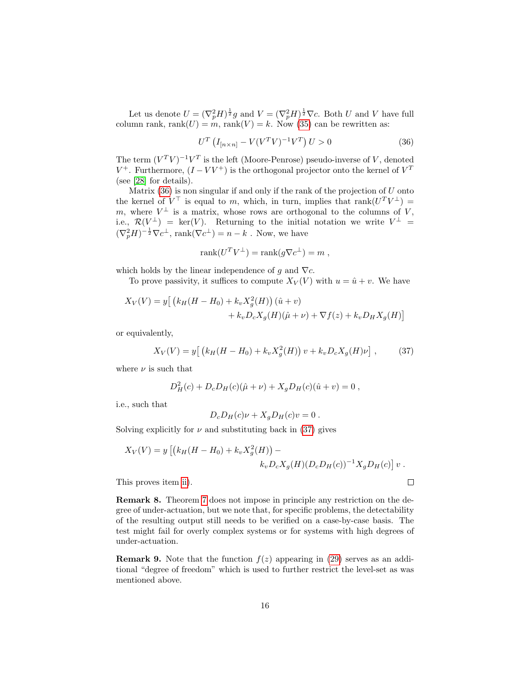Let us denote  $U = (\nabla_p^2 H)^{\frac{1}{2}} g$  and  $V = (\nabla_p^2 H)^{\frac{1}{2}} \nabla c$ . Both U and V have full column rank, rank $(U) = m$ , rank $(V) = k$ . Now [\(35\)](#page-14-2) can be rewritten as:

<span id="page-15-1"></span>
$$
U^{T} \left( I_{[n \times n]} - V(V^{T}V)^{-1}V^{T} \right) U > 0 \tag{36}
$$

The term  $(V^T V)^{-1} V^T$  is the left (Moore-Penrose) pseudo-inverse of V, denoted  $V^+$ . Furthermore,  $(I - VV^+)$  is the orthogonal projector onto the kernel of  $V^T$ (see [\[28\]](#page-19-4) for details).

Matrix  $(36)$  is non singular if and only if the rank of the projection of U onto the kernel of  $V^{\top}$  is equal to m, which, in turn, implies that rank $(U^{T}V^{\perp})=$ m, where  $V^{\perp}$  is a matrix, whose rows are orthogonal to the columns of V, i.e.,  $\mathcal{R}(V^{\perp}) = \text{ker}(V)$ . Returning to the initial notation we write  $V^{\perp} =$  $(\nabla_p^2 H)^{-\frac{1}{2}} \nabla c^{\perp}$ , rank $(\nabla c^{\perp}) = n - k$ . Now, we have

$$
rank(U^T V^{\perp}) = rank(g \nabla c^{\perp}) = m ,
$$

which holds by the linear independence of g and  $\nabla c$ .

To prove passivity, it suffices to compute  $X_V(V)$  with  $u = \hat{u} + v$ . We have

$$
X_V(V) = y [ (k_H(H - H_0) + k_v X_g^2(H)) (\hat{u} + v) + k_v D_c X_g(H) (\hat{\mu} + \nu) + \nabla f(z) + k_v D_H X_g(H) ]
$$

or equivalently,

<span id="page-15-2"></span>
$$
X_V(V) = y \left[ \left( k_H(H - H_0) + k_v X_g^2(H) \right) v + k_v D_c X_g(H) \nu \right],\tag{37}
$$

where  $\nu$  is such that

$$
D_H^2(c) + D_c D_H(c)(\hat{\mu} + \nu) + X_g D_H(c)(\hat{u} + v) = 0,
$$

i.e., such that

$$
D_c D_H(c)\nu + X_g D_H(c)\nu = 0.
$$

Solving explicitly for  $\nu$  and substituting back in [\(37\)](#page-15-2) gives

$$
X_V(V) = y [(k_H(H - H_0) + k_v X_g^2(H)) - k_v D_c X_g(H) (D_c D_H(c))^{-1} X_g D_H(c)] v.
$$

This proves item [ii\)](#page-13-0).

Remark 8. Theorem [7](#page-13-1) does not impose in principle any restriction on the degree of under-actuation, but we note that, for specific problems, the detectability of the resulting output still needs to be verified on a case-by-case basis. The test might fail for overly complex systems or for systems with high degrees of under-actuation.

<span id="page-15-0"></span>**Remark 9.** Note that the function  $f(z)$  appearing in [\(29\)](#page-13-2) serves as an additional "degree of freedom" which is used to further restrict the level-set as was mentioned above.

 $\Box$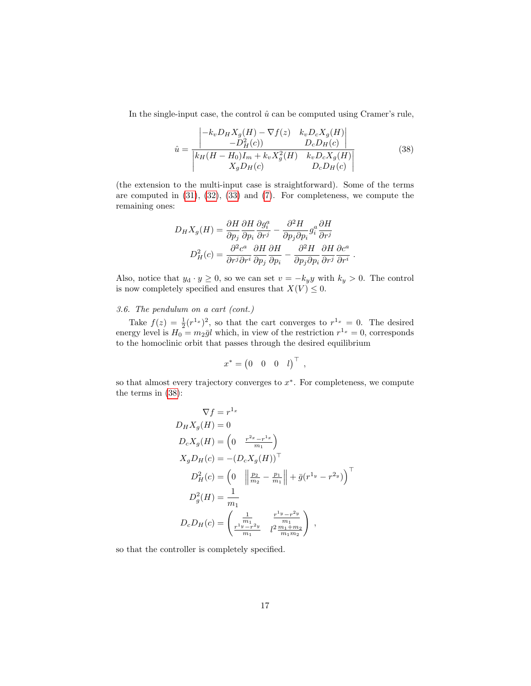In the single-input case, the control  $\hat{u}$  can be computed using Cramer's rule,

<span id="page-16-0"></span>
$$
\hat{u} = \frac{\begin{vmatrix} -k_v D_H X_g(H) - \nabla f(z) & k_v D_c X_g(H) \\ -D_H^2(c) & D_c D_H(c) \end{vmatrix}}{k_H (H - H_0) I_m + k_v X_g^2(H) \quad k_v D_c X_g(H)} \tag{38}
$$

.

(the extension to the multi-input case is straightforward). Some of the terms are computed in [\(31\)](#page-14-3), [\(32\)](#page-14-4), [\(33\)](#page-14-5) and [\(7\)](#page-4-0). For completeness, we compute the remaining ones:

$$
D_H X_g(H) = \frac{\partial H}{\partial p_j} \frac{\partial H}{\partial p_i} \frac{\partial g_i^a}{\partial r^j} - \frac{\partial^2 H}{\partial p_j \partial p_i} g_i^a \frac{\partial H}{\partial r^j}
$$

$$
D_H^2(c) = \frac{\partial^2 c^a}{\partial r^j \partial r^i} \frac{\partial H}{\partial p_j} \frac{\partial H}{\partial p_i} - \frac{\partial^2 H}{\partial p_j \partial p_i} \frac{\partial H}{\partial r^i} \frac{\partial c^a}{\partial r^i}
$$

Also, notice that  $y_d \cdot y \ge 0$ , so we can set  $v = -k_y y$  with  $k_y > 0$ . The control is now completely specified and ensures that  $X(V) \leq 0$ .

# 3.6. The pendulum on a cart (cont.)

Take  $f(z) = \frac{1}{2}(r^{1_x})^2$ , so that the cart converges to  $r^{1_x} = 0$ . The desired energy level is  $H_0 = m_2 \bar{g} l$  which, in view of the restriction  $r^{1_x} = 0$ , corresponds to the homoclinic orbit that passes through the desired equilibrium

$$
x^* = \begin{pmatrix} 0 & 0 & 0 & l \end{pmatrix}^\top ,
$$

so that almost every trajectory converges to  $x^*$ . For completeness, we compute the terms in [\(38\)](#page-16-0):

$$
\nabla f = r^{1_x}
$$
  
\n
$$
D_H X_g(H) = 0
$$
  
\n
$$
D_c X_g(H) = \left(0 - \frac{r^{2_x} - r^{1_x}}{m_1}\right)
$$
  
\n
$$
X_g D_H(c) = -(D_c X_g(H))^{\top}
$$
  
\n
$$
D_H^2(c) = \left(0 - \left\|\frac{p_2}{m_2} - \frac{p_1}{m_1}\right\| + \bar{g}(r^{1_y} - r^{2_y})\right)^{\top}
$$
  
\n
$$
D_g^2(H) = \frac{1}{m_1}
$$
  
\n
$$
D_c D_H(c) = \left(\frac{\frac{1}{m_1}}{m_1} - \frac{r^{1_y} - r^{2_y}}{m_1 m_2}\right),
$$

so that the controller is completely specified.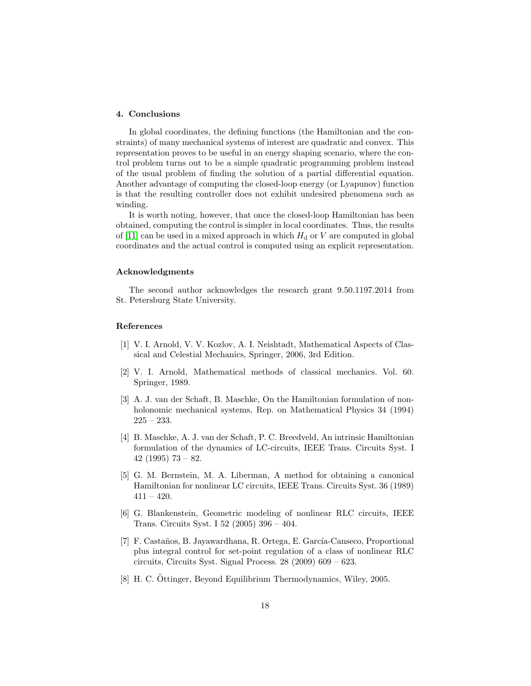# <span id="page-17-7"></span>4. Conclusions

In global coordinates, the defining functions (the Hamiltonian and the constraints) of many mechanical systems of interest are quadratic and convex. This representation proves to be useful in an energy shaping scenario, where the control problem turns out to be a simple quadratic programming problem instead of the usual problem of finding the solution of a partial differential equation. Another advantage of computing the closed-loop energy (or Lyapunov) function is that the resulting controller does not exhibit undesired phenomena such as winding.

It is worth noting, however, that once the closed-loop Hamiltonian has been obtained, computing the control is simpler in local coordinates. Thus, the results of [\[11\]](#page-18-2) can be used in a mixed approach in which  $H_d$  or V are computed in global coordinates and the actual control is computed using an explicit representation.

# Acknowledgments

The second author acknowledges the research grant 9.50.1197.2014 from St. Petersburg State University.

#### References

- <span id="page-17-0"></span>[1] V. I. Arnold, V. V. Kozlov, A. I. Neishtadt, Mathematical Aspects of Classical and Celestial Mechanics, Springer, 2006, 3rd Edition.
- <span id="page-17-8"></span>[2] V. I. Arnold, Mathematical methods of classical mechanics. Vol. 60. Springer, 1989.
- <span id="page-17-1"></span>[3] A. J. van der Schaft, B. Maschke, On the Hamiltonian formulation of nonholonomic mechanical systems, Rep. on Mathematical Physics 34 (1994)  $225 - 233.$
- <span id="page-17-2"></span>[4] B. Maschke, A. J. van der Schaft, P. C. Breedveld, An intrinsic Hamiltonian formulation of the dynamics of LC-circuits, IEEE Trans. Circuits Syst. I 42 (1995)  $73 - 82$ .
- <span id="page-17-3"></span>[5] G. M. Bernstein, M. A. Liberman, A method for obtaining a canonical Hamiltonian for nonlinear LC circuits, IEEE Trans. Circuits Syst. 36 (1989)  $411 - 420.$
- <span id="page-17-4"></span>[6] G. Blankenstein, Geometric modeling of nonlinear RLC circuits, IEEE Trans. Circuits Syst. I 52 (2005) 396 – 404.
- <span id="page-17-5"></span>[7] F. Castaños, B. Jayawardhana, R. Ortega, E. García-Canseco, Proportional plus integral control for set-point regulation of a class of nonlinear RLC circuits, Circuits Syst. Signal Process. 28 (2009) 609 – 623.
- <span id="page-17-6"></span>[8] H. C. Ottinger, Beyond Equilibrium Thermodynamics, Wiley, 2005.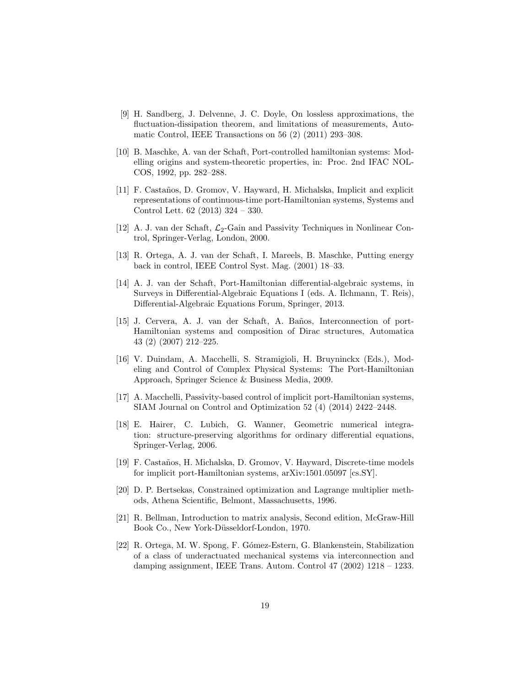- <span id="page-18-0"></span>[9] H. Sandberg, J. Delvenne, J. C. Doyle, On lossless approximations, the fluctuation-dissipation theorem, and limitations of measurements, Automatic Control, IEEE Transactions on 56 (2) (2011) 293–308.
- <span id="page-18-1"></span>[10] B. Maschke, A. van der Schaft, Port-controlled hamiltonian systems: Modelling origins and system-theoretic properties, in: Proc. 2nd IFAC NOL-COS, 1992, pp. 282–288.
- <span id="page-18-2"></span>[11] F. Castaños, D. Gromov, V. Hayward, H. Michalska, Implicit and explicit representations of continuous-time port-Hamiltonian systems, Systems and Control Lett. 62 (2013) 324 – 330.
- <span id="page-18-3"></span>[12] A. J. van der Schaft,  $\mathcal{L}_2$ -Gain and Passivity Techniques in Nonlinear Control, Springer-Verlag, London, 2000.
- <span id="page-18-4"></span>[13] R. Ortega, A. J. van der Schaft, I. Mareels, B. Maschke, Putting energy back in control, IEEE Control Syst. Mag. (2001) 18–33.
- <span id="page-18-5"></span>[14] A. J. van der Schaft, Port-Hamiltonian differential-algebraic systems, in Surveys in Differential-Algebraic Equations I (eds. A. Ilchmann, T. Reis), Differential-Algebraic Equations Forum, Springer, 2013.
- <span id="page-18-6"></span>[15] J. Cervera, A. J. van der Schaft, A. Baños, Interconnection of port-Hamiltonian systems and composition of Dirac structures, Automatica 43 (2) (2007) 212–225.
- <span id="page-18-7"></span>[16] V. Duindam, A. Macchelli, S. Stramigioli, H. Bruyninckx (Eds.), Modeling and Control of Complex Physical Systems: The Port-Hamiltonian Approach, Springer Science & Business Media, 2009.
- <span id="page-18-8"></span>[17] A. Macchelli, Passivity-based control of implicit port-Hamiltonian systems, SIAM Journal on Control and Optimization 52 (4) (2014) 2422–2448.
- <span id="page-18-9"></span>[18] E. Hairer, C. Lubich, G. Wanner, Geometric numerical integration: structure-preserving algorithms for ordinary differential equations, Springer-Verlag, 2006.
- <span id="page-18-10"></span>[19] F. Castaños, H. Michalska, D. Gromov, V. Hayward, Discrete-time models for implicit port-Hamiltonian systems, arXiv:1501.05097 [cs.SY].
- <span id="page-18-11"></span>[20] D. P. Bertsekas, Constrained optimization and Lagrange multiplier methods, Athena Scientific, Belmont, Massachusetts, 1996.
- <span id="page-18-12"></span>[21] R. Bellman, Introduction to matrix analysis, Second edition, McGraw-Hill Book Co., New York-Düsseldorf-London, 1970.
- <span id="page-18-13"></span>[22] R. Ortega, M. W. Spong, F. G´omez-Estern, G. Blankenstein, Stabilization of a class of underactuated mechanical systems via interconnection and damping assignment, IEEE Trans. Autom. Control 47 (2002) 1218 – 1233.